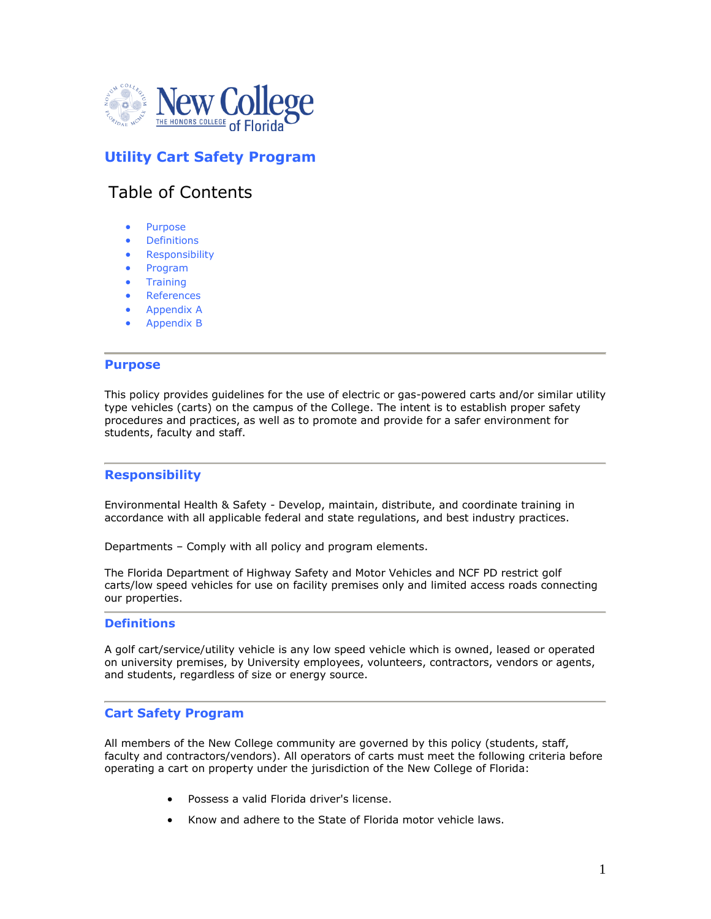

# **Utility Cart Safety Program**

# Table of Contents

- [Purpose](http://www.safety.fsu.edu/policies/hearing.html#purpose#purpose)
- **•** [Definitions](http://www.safety.fsu.edu/policies/hearing.html#definitions#definitions)
- **•** [Responsibility](http://www.safety.fsu.edu/policies/hearing.html#responsibility#responsibility)
- Program
- **•** [Training](http://www.safety.fsu.edu/policies/hearing.html#training#training)
- [References](http://www.safety.fsu.edu/policies/hearing.html#references#references)
- Appendix A
- Appendix B

#### **Purpose**

This policy provides guidelines for the use of electric or gas-powered carts and/or similar utility type vehicles (carts) on the campus of the College. The intent is to establish proper safety procedures and practices, as well as to promote and provide for a safer environment for students, faculty and staff.

#### **Responsibility**

Environmental Health & Safety - Develop, maintain, distribute, and coordinate training in accordance with all applicable federal and state regulations, and best industry practices.

Departments – Comply with all policy and program elements.

The Florida Department of Highway Safety and Motor Vehicles and NCF PD restrict golf carts/low speed vehicles for use on facility premises only and limited access roads connecting our properties.

#### **Definitions**

A golf cart/service/utility vehicle is any low speed vehicle which is owned, leased or operated on university premises, by University employees, volunteers, contractors, vendors or agents, and students, regardless of size or energy source.

#### **Cart Safety Program**

All members of the New College community are governed by this policy (students, staff, faculty and contractors/vendors). All operators of carts must meet the following criteria before operating a cart on property under the jurisdiction of the New College of Florida:

- Possess a valid Florida driver's license.
- Know and adhere to the State of Florida motor vehicle laws.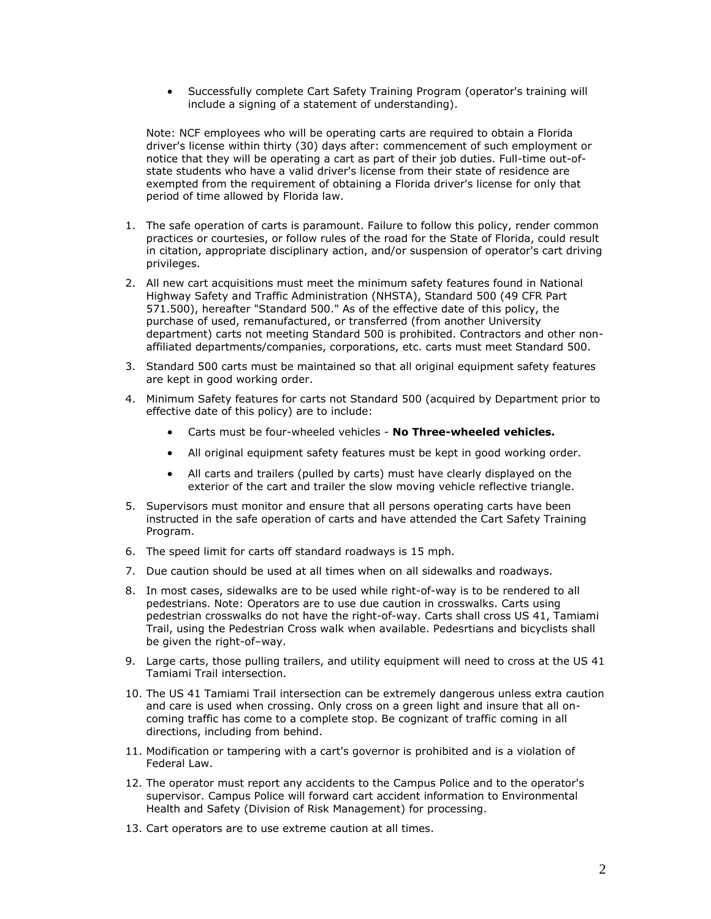Successfully complete Cart Safety Training Program (operator's training will include a signing of a statement of understanding).

Note: NCF employees who will be operating carts are required to obtain a Florida driver's license within thirty (30) days after: commencement of such employment or notice that they will be operating a cart as part of their job duties. Full-time out-ofstate students who have a valid driver's license from their state of residence are exempted from the requirement of obtaining a Florida driver's license for only that period of time allowed by Florida law.

- 1. The safe operation of carts is paramount. Failure to follow this policy, render common practices or courtesies, or follow rules of the road for the State of Florida, could result in citation, appropriate disciplinary action, and/or suspension of operator's cart driving privileges.
- 2. All new cart acquisitions must meet the minimum safety features found in National Highway Safety and Traffic Administration (NHSTA), Standard 500 (49 CFR Part 571.500), hereafter "Standard 500." As of the effective date of this policy, the purchase of used, remanufactured, or transferred (from another University department) carts not meeting Standard 500 is prohibited. Contractors and other nonaffiliated departments/companies, corporations, etc. carts must meet Standard 500.
- 3. Standard 500 carts must be maintained so that all original equipment safety features are kept in good working order.
- 4. Minimum Safety features for carts not Standard 500 (acquired by Department prior to effective date of this policy) are to include:
	- Carts must be four-wheeled vehicles **No Three-wheeled vehicles.**
	- All original equipment safety features must be kept in good working order.
	- All carts and trailers (pulled by carts) must have clearly displayed on the exterior of the cart and trailer the slow moving vehicle reflective triangle.
- 5. Supervisors must monitor and ensure that all persons operating carts have been instructed in the safe operation of carts and have attended the Cart Safety Training Program.
- 6. The speed limit for carts off standard roadways is 15 mph.
- 7. Due caution should be used at all times when on all sidewalks and roadways.
- 8. In most cases, sidewalks are to be used while right-of-way is to be rendered to all pedestrians. Note: Operators are to use due caution in crosswalks. Carts using pedestrian crosswalks do not have the right-of-way. Carts shall cross US 41, Tamiami Trail, using the Pedestrian Cross walk when available. Pedesrtians and bicyclists shall be given the right-of–way.
- 9. Large carts, those pulling trailers, and utility equipment will need to cross at the US 41 Tamiami Trail intersection.
- 10. The US 41 Tamiami Trail intersection can be extremely dangerous unless extra caution and care is used when crossing. Only cross on a green light and insure that all oncoming traffic has come to a complete stop. Be cognizant of traffic coming in all directions, including from behind.
- 11. Modification or tampering with a cart's governor is prohibited and is a violation of Federal Law.
- 12. The operator must report any accidents to the Campus Police and to the operator's supervisor. Campus Police will forward cart accident information to Environmental Health and Safety (Division of Risk Management) for processing.
- 13. Cart operators are to use extreme caution at all times.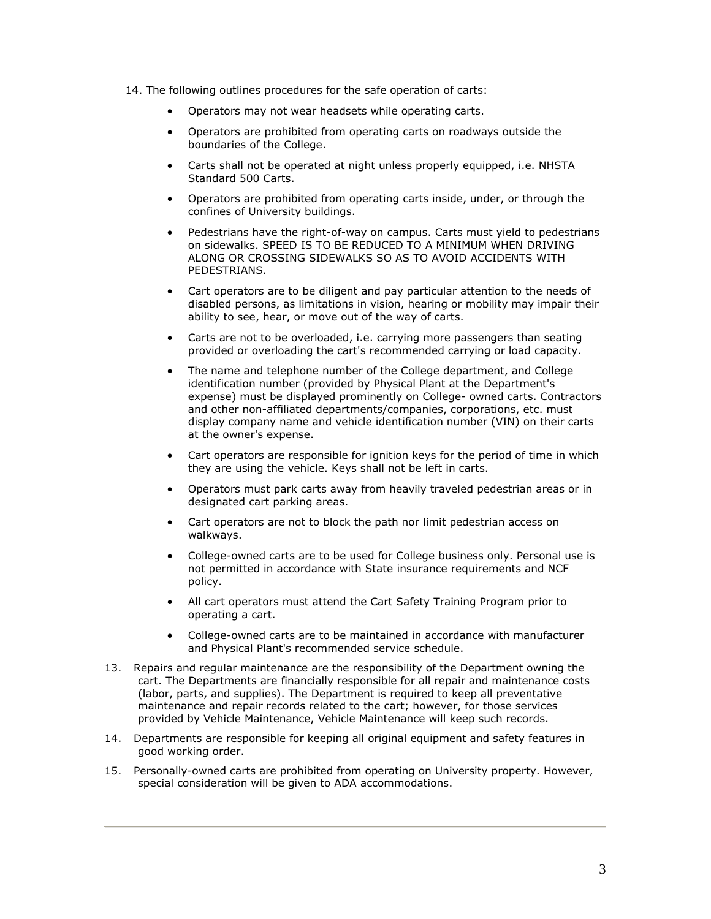- 14. The following outlines procedures for the safe operation of carts:
	- Operators may not wear headsets while operating carts.
	- Operators are prohibited from operating carts on roadways outside the boundaries of the College.
	- Carts shall not be operated at night unless properly equipped, i.e. NHSTA Standard 500 Carts.
	- Operators are prohibited from operating carts inside, under, or through the confines of University buildings.
	- Pedestrians have the right-of-way on campus. Carts must yield to pedestrians on sidewalks. SPEED IS TO BE REDUCED TO A MINIMUM WHEN DRIVING ALONG OR CROSSING SIDEWALKS SO AS TO AVOID ACCIDENTS WITH PEDESTRIANS.
	- Cart operators are to be diligent and pay particular attention to the needs of disabled persons, as limitations in vision, hearing or mobility may impair their ability to see, hear, or move out of the way of carts.
	- Carts are not to be overloaded, i.e. carrying more passengers than seating provided or overloading the cart's recommended carrying or load capacity.
	- The name and telephone number of the College department, and College identification number (provided by Physical Plant at the Department's expense) must be displayed prominently on College- owned carts. Contractors and other non-affiliated departments/companies, corporations, etc. must display company name and vehicle identification number (VIN) on their carts at the owner's expense.
	- Cart operators are responsible for ignition keys for the period of time in which they are using the vehicle. Keys shall not be left in carts.
	- Operators must park carts away from heavily traveled pedestrian areas or in designated cart parking areas.
	- Cart operators are not to block the path nor limit pedestrian access on walkways.
	- College-owned carts are to be used for College business only. Personal use is not permitted in accordance with State insurance requirements and NCF policy.
	- All cart operators must attend the Cart Safety Training Program prior to operating a cart.
	- College-owned carts are to be maintained in accordance with manufacturer and Physical Plant's recommended service schedule.
- 13. Repairs and regular maintenance are the responsibility of the Department owning the cart. The Departments are financially responsible for all repair and maintenance costs (labor, parts, and supplies). The Department is required to keep all preventative maintenance and repair records related to the cart; however, for those services provided by Vehicle Maintenance, Vehicle Maintenance will keep such records.
- 14. Departments are responsible for keeping all original equipment and safety features in good working order.
- 15. Personally-owned carts are prohibited from operating on University property. However, special consideration will be given to ADA accommodations.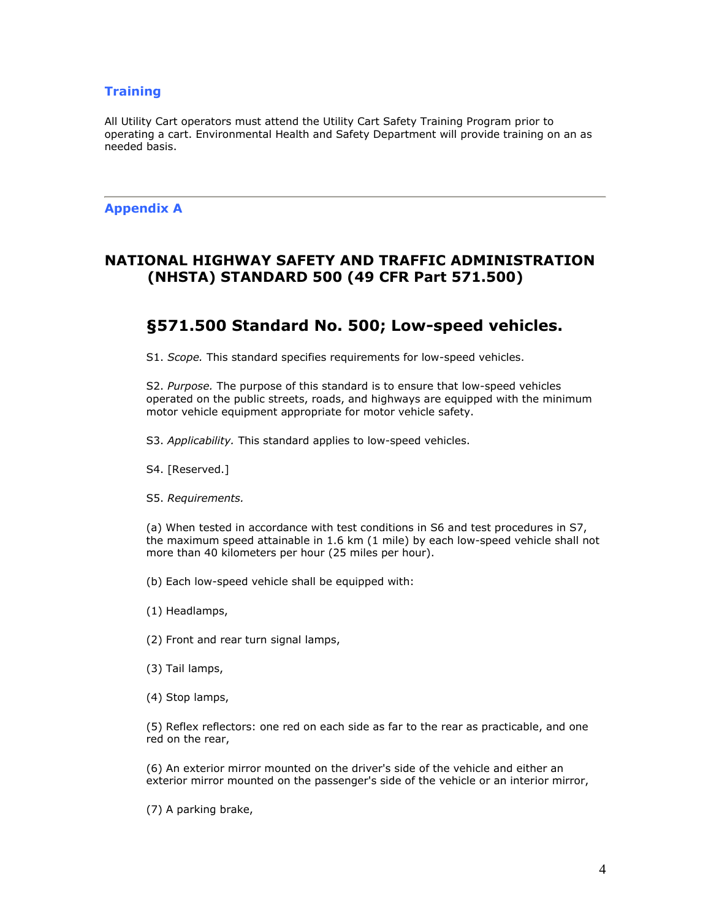## **Training**

All Utility Cart operators must attend the Utility Cart Safety Training Program prior to operating a cart. Environmental Health and Safety Department will provide training on an as needed basis.

## **Appendix A**

## **NATIONAL HIGHWAY SAFETY AND TRAFFIC ADMINISTRATION (NHSTA) STANDARD 500 (49 CFR Part 571.500)**

# **§571.500 Standard No. 500; Low-speed vehicles.**

S1. *Scope.* This standard specifies requirements for low-speed vehicles.

S2. *Purpose.* The purpose of this standard is to ensure that low-speed vehicles operated on the public streets, roads, and highways are equipped with the minimum motor vehicle equipment appropriate for motor vehicle safety.

S3. *Applicability.* This standard applies to low-speed vehicles.

S4. [Reserved.]

S5. *Requirements.*

(a) When tested in accordance with test conditions in S6 and test procedures in S7, the maximum speed attainable in 1.6 km (1 mile) by each low-speed vehicle shall not more than 40 kilometers per hour (25 miles per hour).

(b) Each low-speed vehicle shall be equipped with:

(1) Headlamps,

(2) Front and rear turn signal lamps,

(3) Tail lamps,

(4) Stop lamps,

(5) Reflex reflectors: one red on each side as far to the rear as practicable, and one red on the rear,

(6) An exterior mirror mounted on the driver's side of the vehicle and either an exterior mirror mounted on the passenger's side of the vehicle or an interior mirror,

(7) A parking brake,